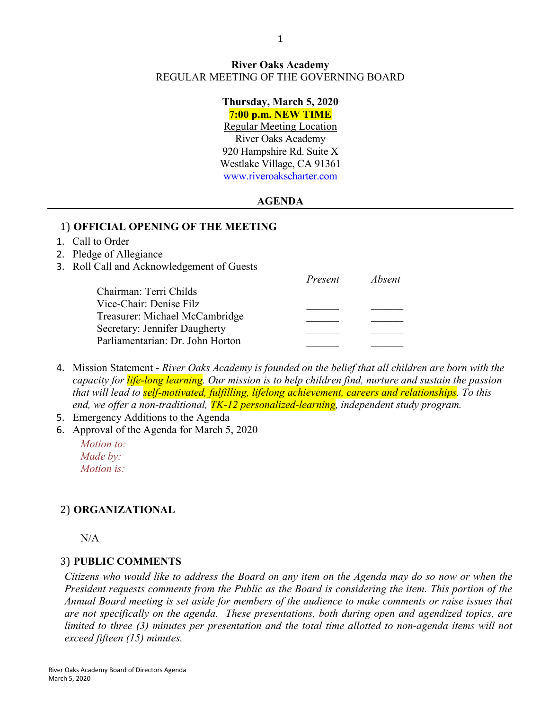### **River Oaks Academy** REGULAR MEETING OF THE GOVERNING BOARD

#### **Thursday, March 5, 2020 7:00 p.m. NEW TIME**

Regular Meeting Location River Oaks Academy 920 Hampshire Rd. Suite X Westlake Village, CA 91361 [www.riveroakscharter.com](http://www.riveroakscharter.com/)

## **AGENDA**

### 1) **OFFICIAL OPENING OF THE MEETING**

### 1. Call to Order

## 2. Pledge of Allegiance

### 3. Roll Call and Acknowledgement of Guests

|                                  | Present | Absent |
|----------------------------------|---------|--------|
| Chairman: Terri Childs           |         |        |
| Vice-Chair: Denise Filz          |         |        |
| Treasurer: Michael McCambridge   |         |        |
| Secretary: Jennifer Daugherty    |         |        |
| Parliamentarian: Dr. John Horton |         |        |
|                                  |         |        |

- 4. Mission Statement *River Oaks Academy is founded on the belief that all children are born with the capacity for life-long learning. Our mission is to help children find, nurture and sustain the passion that will lead to self-motivated, fulfilling, lifelong achievement, careers and relationships. To this end, we offer a non-traditional, TK-12 personalized-learning, independent study program.*
- 5. Emergency Additions to the Agenda
- 6. Approval of the Agenda for March 5, 2020

*Motion to: Made by: Motion is:*

# 2) **ORGANIZATIONAL**

N/A

# 3) **PUBLIC COMMENTS**

*Citizens who would like to address the Board on any item on the Agenda may do so now or when the President requests comments from the Public as the Board is considering the item. This portion of the Annual Board meeting is set aside for members of the audience to make comments or raise issues that are not specifically on the agenda. These presentations, both during open and agendized topics, are limited to three (3) minutes per presentation and the total time allotted to non-agenda items will not exceed fifteen (15) minutes.*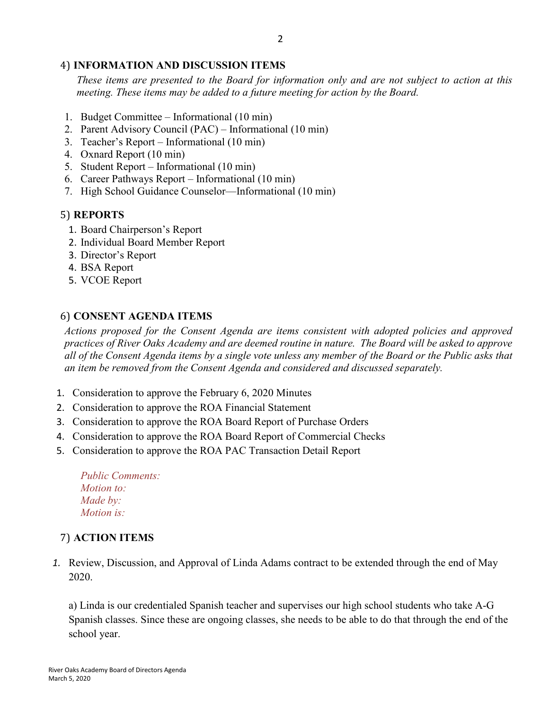#### 4) **INFORMATION AND DISCUSSION ITEMS**

*These items are presented to the Board for information only and are not subject to action at this meeting. These items may be added to a future meeting for action by the Board.*

- 1. Budget Committee Informational (10 min)
- 2. Parent Advisory Council (PAC) Informational (10 min)
- 3. Teacher's Report Informational (10 min)
- 4. Oxnard Report (10 min)
- 5. Student Report Informational (10 min)
- 6. Career Pathways Report Informational (10 min)
- 7. High School Guidance Counselor—Informational (10 min)

### 5) **REPORTS**

- 1. Board Chairperson's Report
- 2. Individual Board Member Report
- 3. Director's Report
- 4. BSA Report
- 5. VCOE Report

### 6) **CONSENT AGENDA ITEMS**

*Actions proposed for the Consent Agenda are items consistent with adopted policies and approved practices of River Oaks Academy and are deemed routine in nature. The Board will be asked to approve all of the Consent Agenda items by a single vote unless any member of the Board or the Public asks that an item be removed from the Consent Agenda and considered and discussed separately.*

- 1. Consideration to approve the February 6, 2020 Minutes
- 2. Consideration to approve the ROA Financial Statement
- 3. Consideration to approve the ROA Board Report of Purchase Orders
- 4. Consideration to approve the ROA Board Report of Commercial Checks
- 5. Consideration to approve the ROA PAC Transaction Detail Report

*Public Comments: Motion to: Made by: Motion is:*

### 7) **ACTION ITEMS**

*1.* Review, Discussion, and Approval of Linda Adams contract to be extended through the end of May 2020.

a) Linda is our credentialed Spanish teacher and supervises our high school students who take A-G Spanish classes. Since these are ongoing classes, she needs to be able to do that through the end of the school year.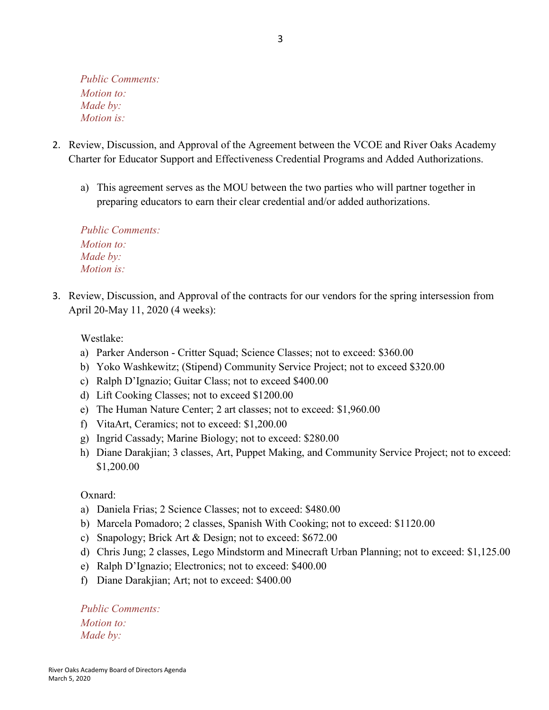*Public Comments: Motion to: Made by: Motion is:*

- 2. Review, Discussion, and Approval of the Agreement between the VCOE and River Oaks Academy Charter for Educator Support and Effectiveness Credential Programs and Added Authorizations.
	- a) This agreement serves as the MOU between the two parties who will partner together in preparing educators to earn their clear credential and/or added authorizations.

*Public Comments: Motion to: Made by: Motion is:*

3. Review, Discussion, and Approval of the contracts for our vendors for the spring intersession from April 20-May 11, 2020 (4 weeks):

Westlake:

- a) Parker Anderson Critter Squad; Science Classes; not to exceed: \$360.00
- b) Yoko Washkewitz; (Stipend) Community Service Project; not to exceed \$320.00
- c) Ralph D'Ignazio; Guitar Class; not to exceed \$400.00
- d) Lift Cooking Classes; not to exceed \$1200.00
- e) The Human Nature Center; 2 art classes; not to exceed: \$1,960.00
- f) VitaArt, Ceramics; not to exceed: \$1,200.00
- g) Ingrid Cassady; Marine Biology; not to exceed: \$280.00
- h) Diane Darakjian; 3 classes, Art, Puppet Making, and Community Service Project; not to exceed: \$1,200.00

Oxnard:

- a) Daniela Frias; 2 Science Classes; not to exceed: \$480.00
- b) Marcela Pomadoro; 2 classes, Spanish With Cooking; not to exceed: \$1120.00
- c) Snapology; Brick Art & Design; not to exceed: \$672.00
- d) Chris Jung; 2 classes, Lego Mindstorm and Minecraft Urban Planning; not to exceed: \$1,125.00
- e) Ralph D'Ignazio; Electronics; not to exceed: \$400.00
- f) Diane Darakjian; Art; not to exceed: \$400.00

*Public Comments: Motion to: Made by:*

3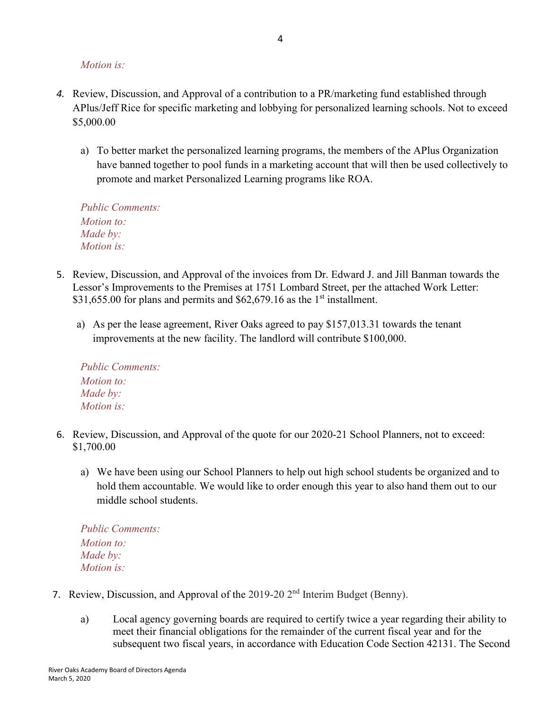*Motion is:*

- *4.* Review, Discussion, and Approval of a contribution to a PR/marketing fund established through APlus/Jeff Rice for specific marketing and lobbying for personalized learning schools. Not to exceed \$5,000.00
	- a) To better market the personalized learning programs, the members of the APlus Organization have banned together to pool funds in a marketing account that will then be used collectively to promote and market Personalized Learning programs like ROA.

*Public Comments: Motion to: Made by: Motion is:*

- 5. Review, Discussion, and Approval of the invoices from Dr. Edward J. and Jill Banman towards the Lessor's Improvements to the Premises at 1751 Lombard Street, per the attached Work Letter:  $$31,655.00$  for plans and permits and  $$62,679.16$  as the 1<sup>st</sup> installment.
	- a) As per the lease agreement, River Oaks agreed to pay \$157,013.31 towards the tenant improvements at the new facility. The landlord will contribute \$100,000.

*Public Comments: Motion to: Made by: Motion is:*

- 6. Review, Discussion, and Approval of the quote for our 2020-21 School Planners, not to exceed: \$1,700.00
	- a) We have been using our School Planners to help out high school students be organized and to hold them accountable. We would like to order enough this year to also hand them out to our middle school students.

*Public Comments: Motion to: Made by: Motion is:*

- 7. Review, Discussion, and Approval of the 2019-20 2nd Interim Budget (Benny).
	- a) Local agency governing boards are required to certify twice a year regarding their ability to meet their financial obligations for the remainder of the current fiscal year and for the subsequent two fiscal years, in accordance with Education Code Section 42131. The Second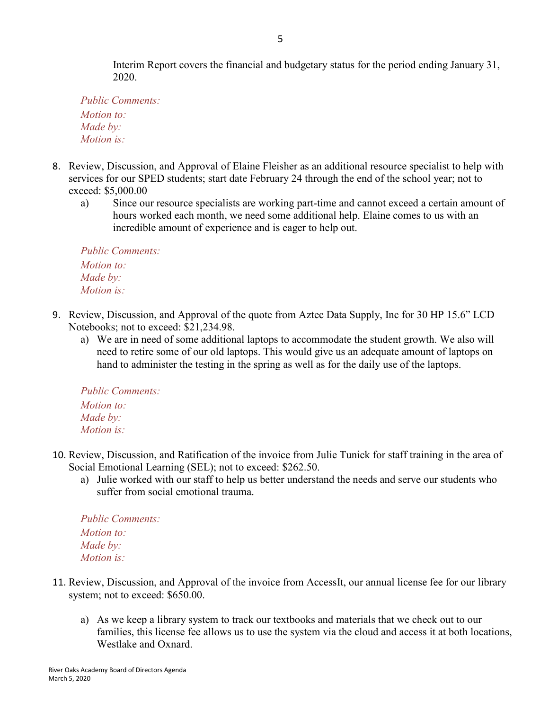Interim Report covers the financial and budgetary status for the period ending January 31, 2020.

*Public Comments: Motion to: Made by: Motion is:*

- 8. Review, Discussion, and Approval of Elaine Fleisher as an additional resource specialist to help with services for our SPED students; start date February 24 through the end of the school year; not to exceed: \$5,000.00
	- a) Since our resource specialists are working part-time and cannot exceed a certain amount of hours worked each month, we need some additional help. Elaine comes to us with an incredible amount of experience and is eager to help out.

| <b>Public Comments:</b> |  |
|-------------------------|--|
| Motion to:              |  |
| Made by:                |  |
| <i>Motion is:</i>       |  |

- 9. Review, Discussion, and Approval of the quote from Aztec Data Supply, Inc for 30 HP 15.6" LCD Notebooks; not to exceed: \$21,234.98.
	- a) We are in need of some additional laptops to accommodate the student growth. We also will need to retire some of our old laptops. This would give us an adequate amount of laptops on hand to administer the testing in the spring as well as for the daily use of the laptops.

*Public Comments: Motion to: Made by: Motion is:*

- 10. Review, Discussion, and Ratification of the invoice from Julie Tunick for staff training in the area of Social Emotional Learning (SEL); not to exceed: \$262.50.
	- a) Julie worked with our staff to help us better understand the needs and serve our students who suffer from social emotional trauma.

*Public Comments: Motion to: Made by: Motion is:*

- 11. Review, Discussion, and Approval of the invoice from AccessIt, our annual license fee for our library system; not to exceed: \$650.00.
	- a) As we keep a library system to track our textbooks and materials that we check out to our families, this license fee allows us to use the system via the cloud and access it at both locations, Westlake and Oxnard.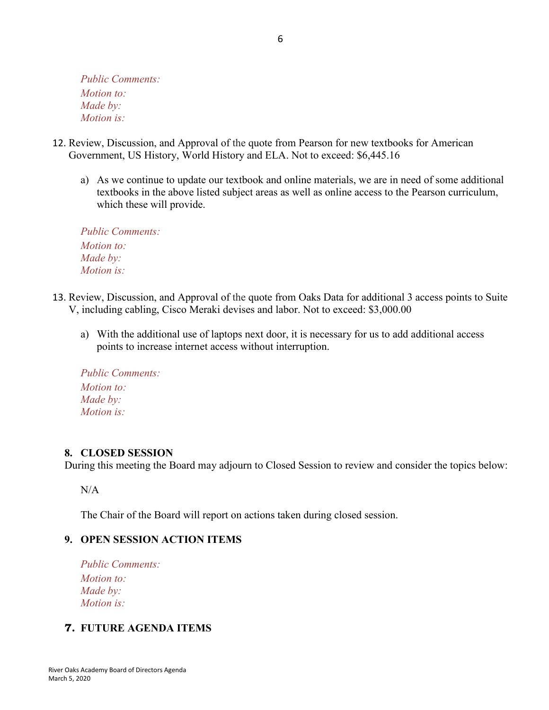*Public Comments: Motion to: Made by: Motion is:*

- 12. Review, Discussion, and Approval of the quote from Pearson for new textbooks for American Government, US History, World History and ELA. Not to exceed: \$6,445.16
	- a) As we continue to update our textbook and online materials, we are in need of some additional textbooks in the above listed subject areas as well as online access to the Pearson curriculum, which these will provide.

*Public Comments: Motion to: Made by: Motion is:*

- 13. Review, Discussion, and Approval of the quote from Oaks Data for additional 3 access points to Suite V, including cabling, Cisco Meraki devises and labor. Not to exceed: \$3,000.00
	- a) With the additional use of laptops next door, it is necessary for us to add additional access points to increase internet access without interruption.

*Public Comments: Motion to: Made by: Motion is:*

### **8. CLOSED SESSION**

During this meeting the Board may adjourn to Closed Session to review and consider the topics below:

 $N/A$ 

The Chair of the Board will report on actions taken during closed session.

### **9. OPEN SESSION ACTION ITEMS**

*Public Comments: Motion to: Made by: Motion is:*

# **7. FUTURE AGENDA ITEMS**